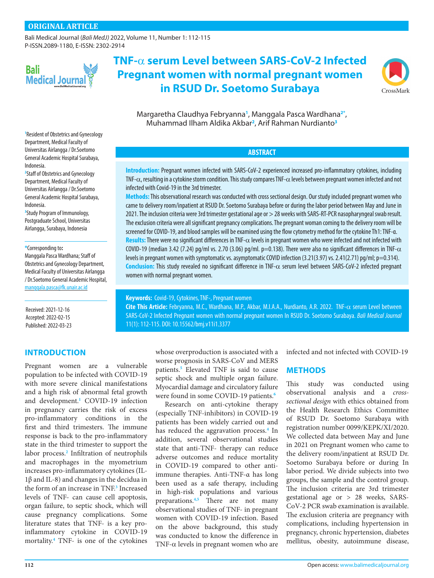[Bali Medical Journal](http://www.balimedicaljournal.org/) (*Bali MedJ)* 2022, Volume 11, Number 1: 112-115 P-ISSN.2089-1180, E-ISSN: 2302-2914



# **TNF-**a **serum Level between SARS-CoV-2 Infected Pregnant women with normal pregnant women in RSUD Dr. Soetomo Surabaya**



Margaretha Claudhya Febryanna**[1](#page-0-0)** , Manggala Pasca Wardhana**[2](#page-0-1)[\\*](#page-0-2)** , Muhammad Ilham Aldika Akbar**[2](#page-0-1)** , Arif Rahman Nurdianto**[3](#page-0-3)**

**ABSTRACT**

**Introduction:** Pregnant women infected with SARS-CoV-2 experienced increased pro-inflammatory cytokines, including TNF- $\alpha$ , resulting in a cytokine storm condition. This study compares TNF- $\alpha$  levels between pregnant women infected and not infected with Covid-19 in the 3rd trimester.

**Methods:** This observational research was conducted with cross sectional design. Our study included pregnant women who came to delivery room/inpatient at RSUD Dr. Soetomo Surabaya before or during the labor period between May and June in 2021. The inclusion criteria were 3rd trimester gestational age or > 28 weeks with SARS-RT-PCR nasopharyngeal swab result. The exclusion criteria were all significant pregnancy complications. The pregnant woman coming to the delivery room will be screened for COVID-19, and blood samples will be examined using the flow cytometry method for the cytokine Th1: TNF-α. Results: There were no significant differences in TNF- $\alpha$  levels in pregnant women who were infected and not infected with COVID-19 (median 3.42 (7.24) pg/ml vs. 2.70 (3.06) pg/ml. p=0.138). There were also no significant differences in TNF- $\alpha$ levels in pregnant women with symptomatic vs. asymptomatic COVID infection (3.21(3.97) vs. 2.41(2.71) pg/ml; p=0.314). Conclusion: This study revealed no significant difference in TNF- $\alpha$  serum level between SARS-CoV-2 infected pregnant women with normal pregnant women.

**Keywords:** Covid-19, Cytokines, TNF-, Pregnant women

Cite This Article: Febryanna, M.C., Wardhana, M.P., Akbar, M.I.A.A., Nurdianto, A.R. 2022. TNF- $\alpha$  serum Level between SARS-CoV-2 Infected Pregnant women with normal pregnant women In RSUD Dr. Soetomo Surabaya. *Bali Medical Journal* 11(1): 112-115. DOI: [10.15562/bmj.v11i1.3377](http://dx.doi.org/10.15562/bmj.v11i1.3377)

> whose overproduction is associated with a worse prognosis in SARS-CoV and MERS patients.**5** Elevated TNF is said to cause septic shock and multiple organ failure. Myocardial damage and circulatory failure were found in some COVID-19 patients.**6**

> Research on anti-cytokine therapy (especially TNF-inhibitors) in COVID-19 patients has been widely carried out and has reduced the aggravation process.**4** In addition, several observational studies state that anti-TNF- therapy can reduce adverse outcomes and reduce mortality in COVID-19 compared to other antiimmune therapies. Anti-TNF-α has long been used as a safe therapy, including in high-risk populations and various preparations.**4,5** There are not many observational studies of TNF- in pregnant women with COVID-19 infection. Based on the above background, this study was conducted to know the difference in TNF- $\alpha$  levels in pregnant women who are

infected and not infected with COVID-19

## **METHODS**

This study was conducted using observational analysis and a *crosssectional design* with ethics obtained from the Health Research Ethics Committee of RSUD Dr. Soetomo Surabaya with registration number 0099/KEPK/XI/2020. We collected data between May and June in 2021 on Pregnant women who came to the delivery room/inpatient at RSUD Dr. Soetomo Surabaya before or during In labor period. We divide subjects into two groups, the sample and the control group. The inclusion criteria are 3rd trimester gestational age or > 28 weeks, SARS-CoV-2 PCR swab examination is available. The exclusion criteria are pregnancy with complications, including hypertension in pregnancy, chronic hypertension, diabetes mellitus, obesity, autoimmune disease,

<span id="page-0-0"></span>**1** Resident of Obstetrics and Gynecology Department, Medical Faculty of Universitas Airlangga / Dr.Soetomo General Academic Hospital Surabaya, Indonesia.

<span id="page-0-1"></span>**2** Staff of Obstetrics and Gynecology Department, Medical Faculty of Universitas Airlangga / Dr.Soetomo General Academic Hospital Surabaya, Indonesia.

<span id="page-0-3"></span>**3** Study Program of Immunology, Postgraduate School, Universitas Airlangga, Surabaya, Indonesia

<span id="page-0-2"></span>**\***Corresponding to**:** 

Manggala Pasca Wardhana; Staff of Obstetrics and Gynecology Department, Medical Faculty of Universitas Airlangga / Dr.Soetomo General Academic Hospital, [manggala.pasca@fk.unair.ac.id](mailto:manggala.pasca@fk.unair.ac.id)

Received: 2021-12-16 Accepted: 2022-02-15 Published: 2022-03-23

# **INTRODUCTION**

Pregnant women are a vulnerable population to be infected with COVID-19 with more severe clinical manifestations and a high risk of abnormal fetal growth and development.**[1](#page-3-0)** COVID-19 infection in pregnancy carries the risk of excess pro-inflammatory conditions in the first and third trimesters. The immune response is back to the pro-inflammatory state in the third trimester to support the labor process.**2** Infiltration of neutrophils and macrophages in the myometrium increases pro-inflammatory cytokines (IL-1β and IL-8) and changes in the decidua in the form of an increase in TNF.**3** Increased levels of TNF- can cause cell apoptosis, organ failure, to septic shock, which will cause pregnancy complications. Some literature states that TNF- is a key proinflammatory cytokine in COVID-19 mortality.**4** TNF- is one of the cytokines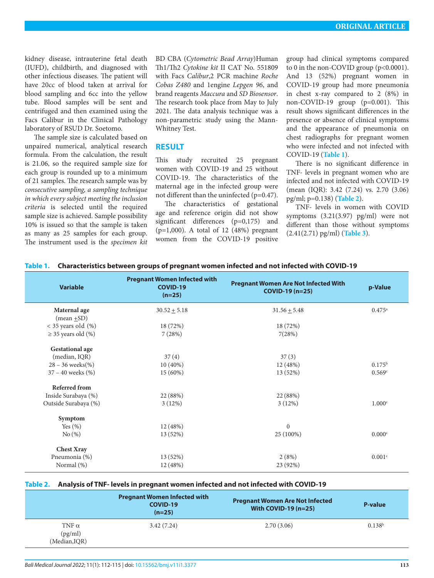kidney disease, intrauterine fetal death (IUFD), childbirth, and diagnosed with other infectious diseases. The patient will have 20cc of blood taken at arrival for blood sampling and 6cc into the yellow tube. Blood samples will be sent and centrifuged and then examined using the Facs Calibur in the Clinical Pathology laboratory of RSUD Dr. Soetomo.

The sample size is calculated based on unpaired numerical, analytical research formula. From the calculation, the result is 21.06, so the required sample size for each group is rounded up to a minimum of 21 samples. The research sample was by *consecutive sampling, a sampling technique in which every subject meeting the inclusion criteria* is selected until the required sample size is achieved. Sample possibility 10% is issued so that the sample is taken as many as 25 samples for each group. The instrument used is the *specimen kit*

BD CBA (*Cytometric Bead Array*)Human Th1/Th2 *Cytokine kit* II CAT No. 551809 with Facs *Calibur*,2 PCR machine *Roche Cobas Z480* and 1engine *Lepgen 96*, and brand reagents *Maccura* and *SD Biosensor*. The research took place from May to July 2021. The data analysis technique was a non-parametric study using the Mann-Whitney Test.

# **RESULT**

This study recruited 25 pregnant women with COVID-19 and 25 without COVID-19. The characteristics of the maternal age in the infected group were not different than the uninfected (p=0.47).

The characteristics of gestational age and reference origin did not show significant differences (p=0,175) and (p=1,000). A total of 12 (48%) pregnant women from the COVID-19 positive

group had clinical symptoms compared to 0 in the non-COVID group (p<0.0001). And 13 (52%) pregnant women in COVID-19 group had more pneumonia in chest x-ray compared to 2 (8%) in non-COVID-19 group (p=0.001). This result shows significant differences in the presence or absence of clinical symptoms and the appearance of pneumonia on chest radiographs for pregnant women who were infected and not infected with COVID-19 (**[Table 1](#page-1-0)**).

There is no significant difference in TNF- levels in pregnant women who are infected and not infected with COVID-19 (mean (IQR): 3.42 (7.24) vs. 2.70 (3.06) pg/ml; p=0.138) (**[Table 2](#page-1-1)**).

TNF- levels in women with COVID symptoms (3.21(3.97) pg/ml) were not different than those without symptoms (2.41(2.71) pg/ml) (**[Table 3](#page-2-0)**).

| <b>Variable</b>                 | <b>Pregnant Women Infected with</b><br><b>COVID-19</b><br>$(n=25)$ | <b>Pregnant Women Are Not Infected With</b><br>COVID-19 (n=25) | p-Value            |
|---------------------------------|--------------------------------------------------------------------|----------------------------------------------------------------|--------------------|
| Maternal age<br>(mean $\pm$ SD) | $30.52 + 5.18$                                                     | $31.56 + 5.48$                                                 | $0.475^{\circ}$    |
| $<$ 35 years old $(\%)$         | 18 (72%)                                                           | 18 (72%)                                                       |                    |
| $\geq$ 35 years old (%)         | 7(28%)                                                             | 7(28%)                                                         |                    |
| <b>Gestational age</b>          |                                                                    |                                                                |                    |
| (median, IQR)                   | 37(4)                                                              | 37(3)                                                          |                    |
| $28 - 36$ weeks(%)              | $10(40\%)$                                                         | 12 (48%)                                                       | $0.175^{\rm b}$    |
| $37 - 40$ weeks $(\%)$          | 15 (60%)                                                           | 13 (52%)                                                       | 0.569c             |
| Referred from                   |                                                                    |                                                                |                    |
| Inside Surabaya (%)             | 22 (88%)                                                           | 22 (88%)                                                       |                    |
| Outside Surabaya (%)            | 3(12%)                                                             | 3(12%)                                                         | 1.000c             |
| Symptom                         |                                                                    |                                                                |                    |
| Yes $(\% )$                     | 12 (48%)                                                           | $\Omega$                                                       |                    |
| No(%)                           | 13 (52%)                                                           | 25 (100%)                                                      | 0.000c             |
| <b>Chest Xray</b>               |                                                                    |                                                                |                    |
| Pneumonia (%)                   | 13 (52%)                                                           | 2(8%)                                                          | 0.001 <sup>c</sup> |
| Normal (%)                      | 12 (48%)                                                           | 23 (92%)                                                       |                    |

## <span id="page-1-0"></span>**Table 1. Characteristics between groups of pregnant women infected and not infected with COVID-19**

#### <span id="page-1-1"></span>**Table 2. Analysis of TNF- levels in pregnant women infected and not infected with COVID-19**

|                                          | <b>Pregnant Women Infected with</b><br>COVID-19<br>$(n=25)$ | <b>Pregnant Women Are Not Infected</b><br>With COVID-19 $(n=25)$ | P-value            |
|------------------------------------------|-------------------------------------------------------------|------------------------------------------------------------------|--------------------|
| TNF $\alpha$<br>(pg/ml)<br>(Median, IQR) | 3.42(7.24)                                                  | 2.70(3.06)                                                       | 0.138 <sup>b</sup> |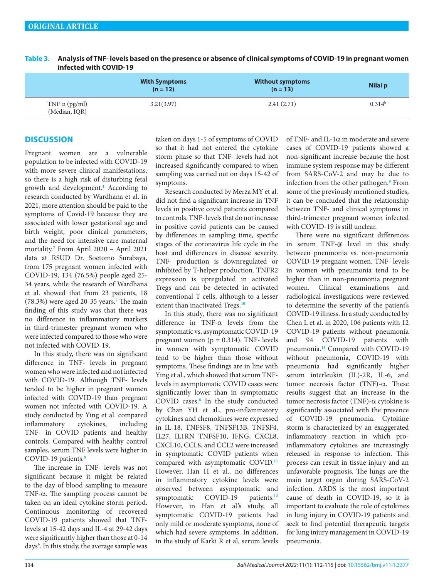|                                       | <b>With Symptoms</b><br>$(n = 12)$ | <b>Without symptoms</b><br>$(n = 13)$ | Nilai p         |
|---------------------------------------|------------------------------------|---------------------------------------|-----------------|
| TNF $\alpha$ (pg/ml)<br>(Median, IQR) | 3.21(3.97)                         | 2.41(2.71)                            | $0.314^{\rm b}$ |

<span id="page-2-0"></span>**Table 3. Analysis of TNF- levels based on the presence or absence of clinical symptoms of COVID-19 in pregnant women infected with COVID-19**

# **DISCUSSION**

Pregnant women are a vulnerable population to be infected with COVID-19 with more severe clinical manifestations, so there is a high risk of disturbing fetal growth and development.**[1](#page-3-0)** According to research conducted by Wardhana et al. in 2021, more attention should be paid to the symptoms of Covid-19 because they are associated with lower gestational age and birth weight, poor clinical parameters, and the need for intensive care maternal mortality.**[7](#page-3-1)** From April 2020 – April 2021 data at RSUD Dr. Soetomo Surabaya, from 175 pregnant women infected with COVID-19, 134 (76.5%) people aged 25- 34 years, while the research of Wardhana et al. showed that from 23 patients, 18 (78.3%) were aged 20-35 years.**[7](#page-3-1)** The main finding of this study was that there was no difference in inflammatory markers in third-trimester pregnant women who were infected compared to those who were not infected with COVID-19.

In this study, there was no significant difference in TNF- levels in pregnant women who were infected and not infected with COVID-19. Although TNF- levels tended to be higher in pregnant women infected with COVID-19 than pregnant women not infected with COVID-19. A study conducted by Ying et al. compared inflammatory cytokines, including TNF- in COVID patients and healthy controls. Compared with healthy control samples, serum TNF levels were higher in COVID-19 patients.**[8](#page-3-2)**

The increase in TNF- levels was not significant because it might be related to the day of blood sampling to measure TNF-α. The sampling process cannot be taken on an ideal cytokine storm period. Continuous monitoring of recovered COVID-19 patients showed that TNFlevels at 15-42 days and IL-4 at 29-42 days were significantly higher than those at 0-14 days<sup>9</sup>. In this study, the average sample was taken on days 1-5 of symptoms of COVID so that it had not entered the cytokine storm phase so that TNF- levels had not increased significantly compared to when sampling was carried out on days 15-42 of symptoms.

Research conducted by Merza MY et al. did not find a significant increase in TNF levels in positive covid patients compared to controls. TNF- levels that do not increase in positive covid patients can be caused by differences in sampling time, specific stages of the coronavirus life cycle in the host and differences in disease severity. TNF- production is downregulated or inhibited by T-helper production. TNFR2 expression is upregulated in activated Tregs and can be detected in activated conventional T cells, although to a lesser extent than inactivated Tregs.**10**

In this study, there was no significant difference in TNF-α levels from the symptomatic vs. asymptomatic COVID-19 pregnant women ( $p = 0.314$ ). TNF- levels in women with symptomatic COVID tend to be higher than those without symptoms. These findings are in line with Ying et al., which showed that serum TNFlevels in asymptomatic COVID cases were significantly lower than in symptomatic COVID cases.**[8](#page-3-2)** In the study conducted by Chan YH et al., pro-inflammatory cytokines and chemokines were expressed in IL-18, TNFSF8, TNFSF13B, TNFSF4, IL27, IL1RN TNFSF10, IFNG, CXCL8, CXCL10, CCL8, and CCL2 were increased in symptomatic COVID patients when compared with asymptomatic COVID.**11** However, Han H et al., no differences in inflammatory cytokine levels were observed between asymptomatic and symptomatic COVID-19 patients.<sup>[12](#page-3-3)</sup> However, in Han et al.'s study, all symptomatic COVID-19 patients had only mild or moderate symptoms, none of which had severe symptoms. In addition, in the study of Karki R et al, serum levels

of TNF- and IL-1 $\alpha$  in moderate and severe cases of COVID-19 patients showed a non-significant increase because the host immune system response may be different from SARS-CoV-2 and may be due to infection from the other pathogen.**[9](#page-3-4)** From some of the previously mentioned studies, it can be concluded that the relationship between TNF- and clinical symptoms in third-trimester pregnant women infected with COVID-19 is still unclear.

There were no significant differences in serum TNF-@ level in this study between pneumonia vs. non-pneumonia COVID-19 pregnant women. TNF- levels in women with pneumonia tend to be higher than in non-pneumonia pregnant women. Clinical examinations and radiological investigations were reviewed to determine the severity of the patient's COVID-19 illness. In a study conducted by Chen L et al. in 2020, 106 patients with 12 COVID-19 patients without pneumonia and 94 COVID-19 patients with pneumonia.**13** Compared with COVID-19 without pneumonia, COVID-19 with pneumonia had significantly higher serum interleukin (IL)-2R, IL-6, and tumor necrosis factor (TNF)-α. These results suggest that an increase in the tumor necrosis factor (TNF)-α cytokine is significantly associated with the presence of COVID-19 pneumonia. Cytokine storm is characterized by an exaggerated inflammatory reaction in which proinflammatory cytokines are increasingly released in response to infection. This process can result in tissue injury and an unfavorable prognosis. The lungs are the main target organ during SARS-CoV-2 infection. ARDS is the most important cause of death in COVID-19, so it is important to evaluate the role of cytokines in lung injury in COVID-19 patients and seek to find potential therapeutic targets for lung injury management in COVID-19 pneumonia.